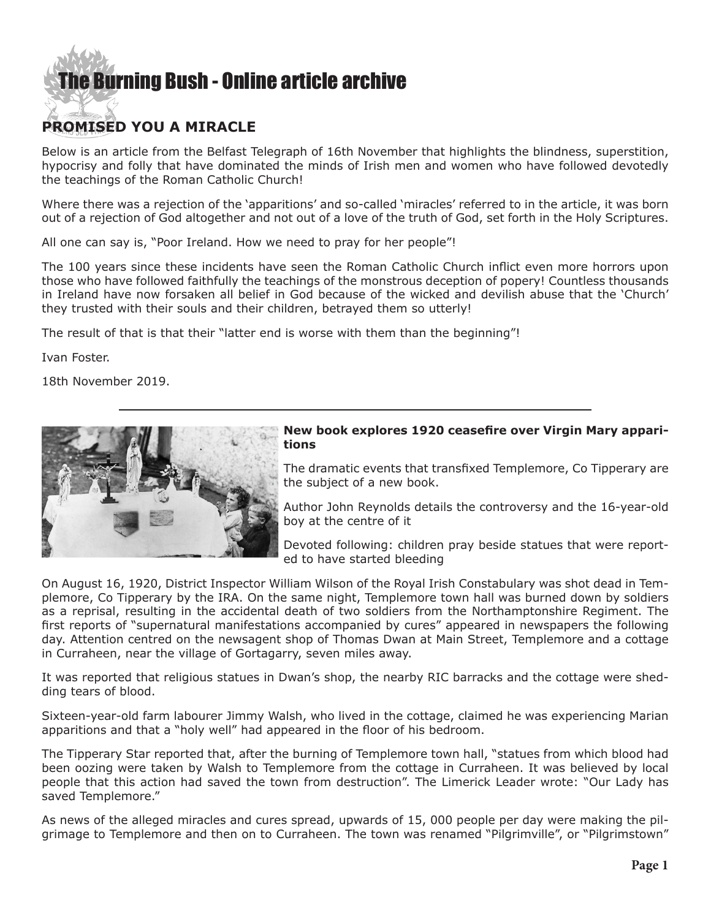## **E** Burning Bush - Online article archive

## **PROMISED YOU A MIRACLE**

Below is an article from the Belfast Telegraph of 16th November that highlights the blindness, superstition, hypocrisy and folly that have dominated the minds of Irish men and women who have followed devotedly the teachings of the Roman Catholic Church!

Where there was a rejection of the 'apparitions' and so-called 'miracles' referred to in the article, it was born out of a rejection of God altogether and not out of a love of the truth of God, set forth in the Holy Scriptures.

All one can say is, "Poor Ireland. How we need to pray for her people"!

The 100 years since these incidents have seen the Roman Catholic Church inflict even more horrors upon those who have followed faithfully the teachings of the monstrous deception of popery! Countless thousands in Ireland have now forsaken all belief in God because of the wicked and devilish abuse that the 'Church' they trusted with their souls and their children, betrayed them so utterly!

The result of that is that their "latter end is worse with them than the beginning"!

Ivan Foster.

18th November 2019.



## **New book explores 1920 ceasefire over Virgin Mary apparitions**

The dramatic events that transfixed Templemore, Co Tipperary are the subject of a new book.

Author John Reynolds details the controversy and the 16-year-old boy at the centre of it

Devoted following: children pray beside statues that were reported to have started bleeding

On August 16, 1920, District Inspector William Wilson of the Royal Irish Constabulary was shot dead in Templemore, Co Tipperary by the IRA. On the same night, Templemore town hall was burned down by soldiers as a reprisal, resulting in the accidental death of two soldiers from the Northamptonshire Regiment. The first reports of "supernatural manifestations accompanied by cures" appeared in newspapers the following day. Attention centred on the newsagent shop of Thomas Dwan at Main Street, Templemore and a cottage in Curraheen, near the village of Gortagarry, seven miles away.

It was reported that religious statues in Dwan's shop, the nearby RIC barracks and the cottage were shedding tears of blood.

Sixteen-year-old farm labourer Jimmy Walsh, who lived in the cottage, claimed he was experiencing Marian apparitions and that a "holy well" had appeared in the floor of his bedroom.

The Tipperary Star reported that, after the burning of Templemore town hall, "statues from which blood had been oozing were taken by Walsh to Templemore from the cottage in Curraheen. It was believed by local people that this action had saved the town from destruction". The Limerick Leader wrote: "Our Lady has saved Templemore."

As news of the alleged miracles and cures spread, upwards of 15, 000 people per day were making the pilgrimage to Templemore and then on to Curraheen. The town was renamed "Pilgrimville", or "Pilgrimstown"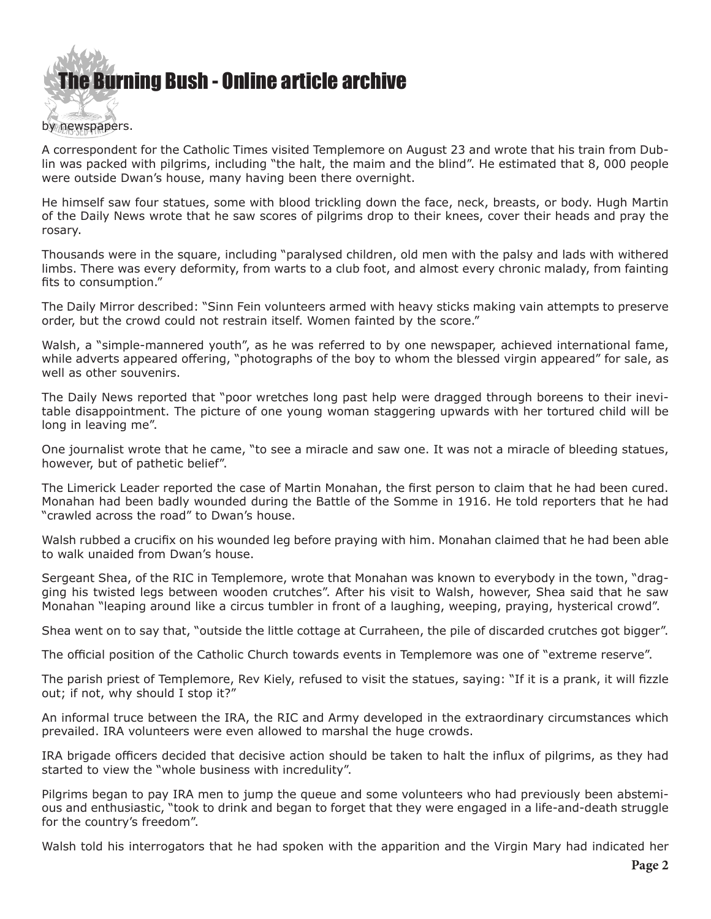

A correspondent for the Catholic Times visited Templemore on August 23 and wrote that his train from Dublin was packed with pilgrims, including "the halt, the maim and the blind". He estimated that 8, 000 people were outside Dwan's house, many having been there overnight.

He himself saw four statues, some with blood trickling down the face, neck, breasts, or body. Hugh Martin of the Daily News wrote that he saw scores of pilgrims drop to their knees, cover their heads and pray the rosary.

Thousands were in the square, including "paralysed children, old men with the palsy and lads with withered limbs. There was every deformity, from warts to a club foot, and almost every chronic malady, from fainting fits to consumption."

The Daily Mirror described: "Sinn Fein volunteers armed with heavy sticks making vain attempts to preserve order, but the crowd could not restrain itself. Women fainted by the score."

Walsh, a "simple-mannered youth", as he was referred to by one newspaper, achieved international fame, while adverts appeared offering, "photographs of the boy to whom the blessed virgin appeared" for sale, as well as other souvenirs.

The Daily News reported that "poor wretches long past help were dragged through boreens to their inevitable disappointment. The picture of one young woman staggering upwards with her tortured child will be long in leaving me".

One journalist wrote that he came, "to see a miracle and saw one. It was not a miracle of bleeding statues, however, but of pathetic belief".

The Limerick Leader reported the case of Martin Monahan, the first person to claim that he had been cured. Monahan had been badly wounded during the Battle of the Somme in 1916. He told reporters that he had "crawled across the road" to Dwan's house.

Walsh rubbed a crucifix on his wounded leg before praying with him. Monahan claimed that he had been able to walk unaided from Dwan's house.

Sergeant Shea, of the RIC in Templemore, wrote that Monahan was known to everybody in the town, "dragging his twisted legs between wooden crutches". After his visit to Walsh, however, Shea said that he saw Monahan "leaping around like a circus tumbler in front of a laughing, weeping, praying, hysterical crowd".

Shea went on to say that, "outside the little cottage at Curraheen, the pile of discarded crutches got bigger".

The official position of the Catholic Church towards events in Templemore was one of "extreme reserve".

The parish priest of Templemore, Rev Kiely, refused to visit the statues, saying: "If it is a prank, it will fizzle out; if not, why should I stop it?"

An informal truce between the IRA, the RIC and Army developed in the extraordinary circumstances which prevailed. IRA volunteers were even allowed to marshal the huge crowds.

IRA brigade officers decided that decisive action should be taken to halt the influx of pilgrims, as they had started to view the "whole business with incredulity".

Pilgrims began to pay IRA men to jump the queue and some volunteers who had previously been abstemious and enthusiastic, "took to drink and began to forget that they were engaged in a life-and-death struggle for the country's freedom".

Walsh told his interrogators that he had spoken with the apparition and the Virgin Mary had indicated her